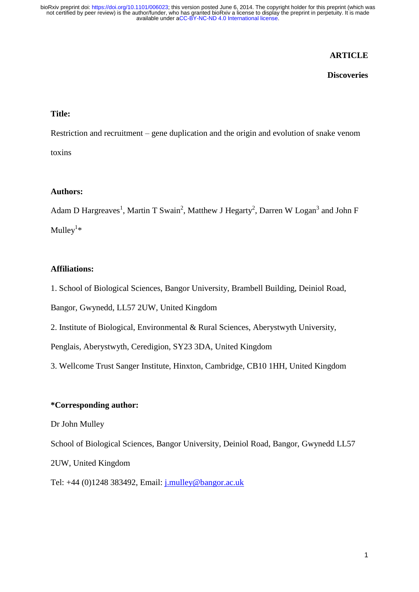# **ARTICLE**

## **Discoveries**

# **Title:**

Restriction and recruitment – gene duplication and the origin and evolution of snake venom toxins

## **Authors:**

Adam D Hargreaves<sup>1</sup>, Martin T Swain<sup>2</sup>, Matthew J Hegarty<sup>2</sup>, Darren W Logan<sup>3</sup> and John F Mulley<sup>1\*</sup>

## **Affiliations:**

1. School of Biological Sciences, Bangor University, Brambell Building, Deiniol Road,

Bangor, Gwynedd, LL57 2UW, United Kingdom

2. Institute of Biological, Environmental & Rural Sciences, Aberystwyth University,

Penglais, Aberystwyth, Ceredigion, SY23 3DA, United Kingdom

3. Wellcome Trust Sanger Institute, Hinxton, Cambridge, CB10 1HH, United Kingdom

#### **\*Corresponding author:**

Dr John Mulley

School of Biological Sciences, Bangor University, Deiniol Road, Bangor, Gwynedd LL57

2UW, United Kingdom

Tel: +44 (0)1248 383492, Email: [j.mulley@bangor.ac.uk](mailto:j.mulley@bangor.ac.uk)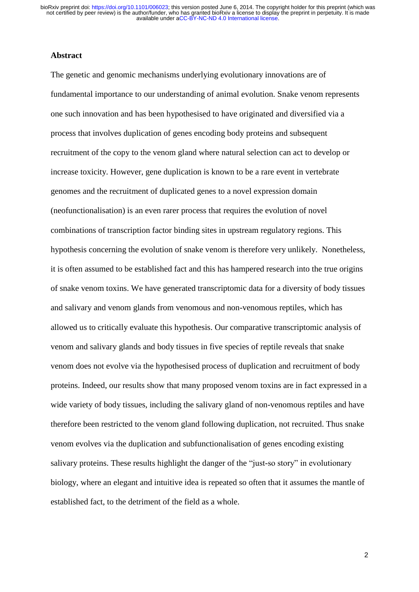#### **Abstract**

The genetic and genomic mechanisms underlying evolutionary innovations are of fundamental importance to our understanding of animal evolution. Snake venom represents one such innovation and has been hypothesised to have originated and diversified via a process that involves duplication of genes encoding body proteins and subsequent recruitment of the copy to the venom gland where natural selection can act to develop or increase toxicity. However, gene duplication is known to be a rare event in vertebrate genomes and the recruitment of duplicated genes to a novel expression domain (neofunctionalisation) is an even rarer process that requires the evolution of novel combinations of transcription factor binding sites in upstream regulatory regions. This hypothesis concerning the evolution of snake venom is therefore very unlikely. Nonetheless, it is often assumed to be established fact and this has hampered research into the true origins of snake venom toxins. We have generated transcriptomic data for a diversity of body tissues and salivary and venom glands from venomous and non-venomous reptiles, which has allowed us to critically evaluate this hypothesis. Our comparative transcriptomic analysis of venom and salivary glands and body tissues in five species of reptile reveals that snake venom does not evolve via the hypothesised process of duplication and recruitment of body proteins. Indeed, our results show that many proposed venom toxins are in fact expressed in a wide variety of body tissues, including the salivary gland of non-venomous reptiles and have therefore been restricted to the venom gland following duplication, not recruited. Thus snake venom evolves via the duplication and subfunctionalisation of genes encoding existing salivary proteins. These results highlight the danger of the "just-so story" in evolutionary biology, where an elegant and intuitive idea is repeated so often that it assumes the mantle of established fact, to the detriment of the field as a whole.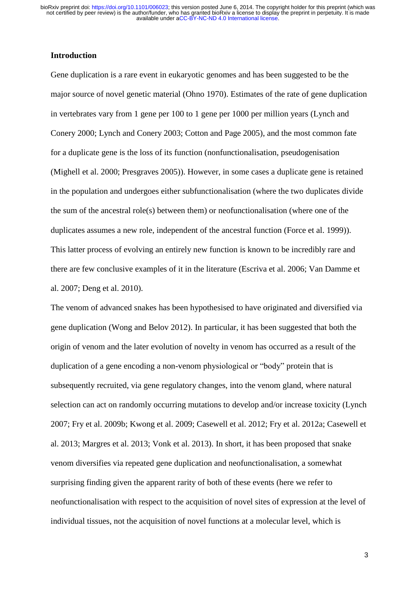# **Introduction**

Gene duplication is a rare event in eukaryotic genomes and has been suggested to be the major source of novel genetic material (Ohno 1970). Estimates of the rate of gene duplication in vertebrates vary from 1 gene per 100 to 1 gene per 1000 per million years (Lynch and Conery 2000; Lynch and Conery 2003; Cotton and Page 2005), and the most common fate for a duplicate gene is the loss of its function (nonfunctionalisation, pseudogenisation (Mighell et al. 2000; Presgraves 2005)). However, in some cases a duplicate gene is retained in the population and undergoes either subfunctionalisation (where the two duplicates divide the sum of the ancestral role(s) between them) or neofunctionalisation (where one of the duplicates assumes a new role, independent of the ancestral function (Force et al. 1999)). This latter process of evolving an entirely new function is known to be incredibly rare and there are few conclusive examples of it in the literature (Escriva et al. 2006; Van Damme et al. 2007; Deng et al. 2010).

The venom of advanced snakes has been hypothesised to have originated and diversified via gene duplication (Wong and Belov 2012). In particular, it has been suggested that both the origin of venom and the later evolution of novelty in venom has occurred as a result of the duplication of a gene encoding a non-venom physiological or "body" protein that is subsequently recruited, via gene regulatory changes, into the venom gland, where natural selection can act on randomly occurring mutations to develop and/or increase toxicity (Lynch 2007; Fry et al. 2009b; Kwong et al. 2009; Casewell et al. 2012; Fry et al. 2012a; Casewell et al. 2013; Margres et al. 2013; Vonk et al. 2013). In short, it has been proposed that snake venom diversifies via repeated gene duplication and neofunctionalisation, a somewhat surprising finding given the apparent rarity of both of these events (here we refer to neofunctionalisation with respect to the acquisition of novel sites of expression at the level of individual tissues, not the acquisition of novel functions at a molecular level, which is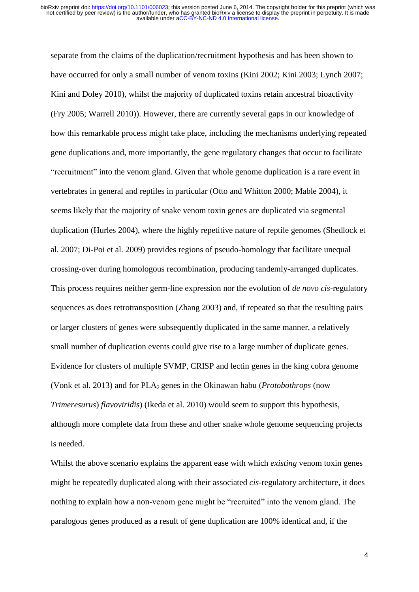separate from the claims of the duplication/recruitment hypothesis and has been shown to have occurred for only a small number of venom toxins (Kini 2002; Kini 2003; Lynch 2007; Kini and Doley 2010), whilst the majority of duplicated toxins retain ancestral bioactivity (Fry 2005; Warrell 2010)). However, there are currently several gaps in our knowledge of how this remarkable process might take place, including the mechanisms underlying repeated gene duplications and, more importantly, the gene regulatory changes that occur to facilitate "recruitment" into the venom gland. Given that whole genome duplication is a rare event in vertebrates in general and reptiles in particular (Otto and Whitton 2000; Mable 2004), it seems likely that the majority of snake venom toxin genes are duplicated via segmental duplication (Hurles 2004), where the highly repetitive nature of reptile genomes (Shedlock et al. 2007; Di-Poi et al. 2009) provides regions of pseudo-homology that facilitate unequal crossing-over during homologous recombination, producing tandemly-arranged duplicates. This process requires neither germ-line expression nor the evolution of *de novo cis*-regulatory sequences as does retrotransposition (Zhang 2003) and, if repeated so that the resulting pairs or larger clusters of genes were subsequently duplicated in the same manner, a relatively small number of duplication events could give rise to a large number of duplicate genes. Evidence for clusters of multiple SVMP, CRISP and lectin genes in the king cobra genome (Vonk et al. 2013) and for PLA2 genes in the Okinawan habu (*Protobothrops* (now *Trimeresurus*) *flavoviridis*) (Ikeda et al. 2010) would seem to support this hypothesis, although more complete data from these and other snake whole genome sequencing projects is needed.

Whilst the above scenario explains the apparent ease with which *existing* venom toxin genes might be repeatedly duplicated along with their associated *cis*-regulatory architecture, it does nothing to explain how a non-venom gene might be "recruited" into the venom gland. The paralogous genes produced as a result of gene duplication are 100% identical and, if the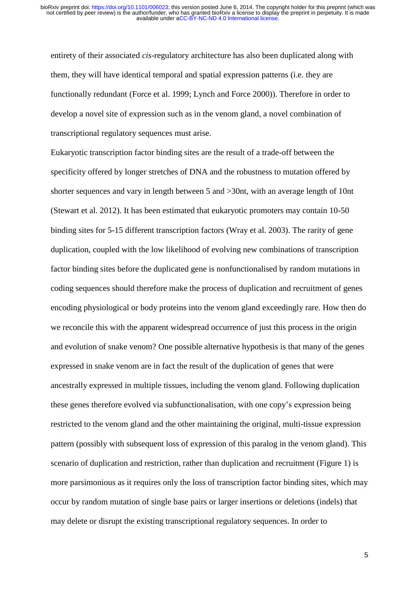entirety of their associated *cis*-regulatory architecture has also been duplicated along with them, they will have identical temporal and spatial expression patterns (i.e. they are functionally redundant (Force et al. 1999; Lynch and Force 2000)). Therefore in order to develop a novel site of expression such as in the venom gland, a novel combination of transcriptional regulatory sequences must arise.

Eukaryotic transcription factor binding sites are the result of a trade-off between the specificity offered by longer stretches of DNA and the robustness to mutation offered by shorter sequences and vary in length between 5 and >30nt, with an average length of 10nt (Stewart et al. 2012). It has been estimated that eukaryotic promoters may contain 10-50 binding sites for 5-15 different transcription factors (Wray et al. 2003). The rarity of gene duplication, coupled with the low likelihood of evolving new combinations of transcription factor binding sites before the duplicated gene is nonfunctionalised by random mutations in coding sequences should therefore make the process of duplication and recruitment of genes encoding physiological or body proteins into the venom gland exceedingly rare. How then do we reconcile this with the apparent widespread occurrence of just this process in the origin and evolution of snake venom? One possible alternative hypothesis is that many of the genes expressed in snake venom are in fact the result of the duplication of genes that were ancestrally expressed in multiple tissues, including the venom gland. Following duplication these genes therefore evolved via subfunctionalisation, with one copy's expression being restricted to the venom gland and the other maintaining the original, multi-tissue expression pattern (possibly with subsequent loss of expression of this paralog in the venom gland). This scenario of duplication and restriction, rather than duplication and recruitment (Figure 1) is more parsimonious as it requires only the loss of transcription factor binding sites, which may occur by random mutation of single base pairs or larger insertions or deletions (indels) that may delete or disrupt the existing transcriptional regulatory sequences. In order to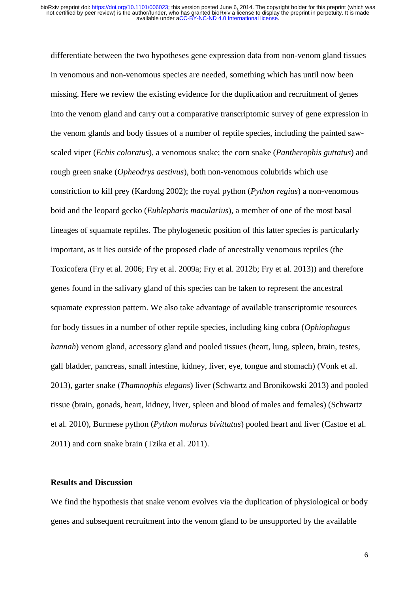differentiate between the two hypotheses gene expression data from non-venom gland tissues in venomous and non-venomous species are needed, something which has until now been missing. Here we review the existing evidence for the duplication and recruitment of genes into the venom gland and carry out a comparative transcriptomic survey of gene expression in the venom glands and body tissues of a number of reptile species, including the painted sawscaled viper (*Echis coloratus*), a venomous snake; the corn snake (*Pantherophis guttatus*) and rough green snake (*Opheodrys aestivus*), both non-venomous colubrids which use constriction to kill prey (Kardong 2002); the royal python (*Python regius*) a non-venomous boid and the leopard gecko (*Eublepharis macularius*), a member of one of the most basal lineages of squamate reptiles. The phylogenetic position of this latter species is particularly important, as it lies outside of the proposed clade of ancestrally venomous reptiles (the Toxicofera (Fry et al. 2006; Fry et al. 2009a; Fry et al. 2012b; Fry et al. 2013)) and therefore genes found in the salivary gland of this species can be taken to represent the ancestral squamate expression pattern. We also take advantage of available transcriptomic resources for body tissues in a number of other reptile species, including king cobra (*Ophiophagus hannah*) venom gland, accessory gland and pooled tissues (heart, lung, spleen, brain, testes, gall bladder, pancreas, small intestine, kidney, liver, eye, tongue and stomach) (Vonk et al. 2013), garter snake (*Thamnophis elegans*) liver (Schwartz and Bronikowski 2013) and pooled tissue (brain, gonads, heart, kidney, liver, spleen and blood of males and females) (Schwartz et al. 2010), Burmese python (*Python molurus bivittatus*) pooled heart and liver (Castoe et al. 2011) and corn snake brain (Tzika et al. 2011).

## **Results and Discussion**

We find the hypothesis that snake venom evolves via the duplication of physiological or body genes and subsequent recruitment into the venom gland to be unsupported by the available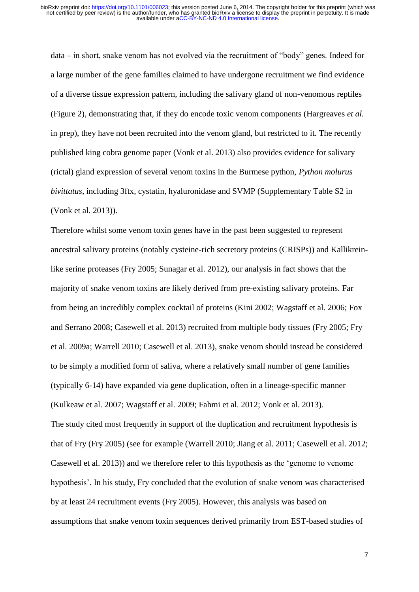data – in short, snake venom has not evolved via the recruitment of "body" genes. Indeed for a large number of the gene families claimed to have undergone recruitment we find evidence of a diverse tissue expression pattern, including the salivary gland of non-venomous reptiles (Figure 2), demonstrating that, if they do encode toxic venom components (Hargreaves *et al.* in prep), they have not been recruited into the venom gland, but restricted to it. The recently published king cobra genome paper (Vonk et al. 2013) also provides evidence for salivary (rictal) gland expression of several venom toxins in the Burmese python, *Python molurus bivittatus*, including 3ftx, cystatin, hyaluronidase and SVMP (Supplementary Table S2 in (Vonk et al. 2013)).

Therefore whilst some venom toxin genes have in the past been suggested to represent ancestral salivary proteins (notably cysteine-rich secretory proteins (CRISPs)) and Kallikreinlike serine proteases (Fry 2005; Sunagar et al. 2012), our analysis in fact shows that the majority of snake venom toxins are likely derived from pre-existing salivary proteins. Far from being an incredibly complex cocktail of proteins (Kini 2002; Wagstaff et al. 2006; Fox and Serrano 2008; Casewell et al. 2013) recruited from multiple body tissues (Fry 2005; Fry et al. 2009a; Warrell 2010; Casewell et al. 2013), snake venom should instead be considered to be simply a modified form of saliva, where a relatively small number of gene families (typically 6-14) have expanded via gene duplication, often in a lineage-specific manner (Kulkeaw et al. 2007; Wagstaff et al. 2009; Fahmi et al. 2012; Vonk et al. 2013). The study cited most frequently in support of the duplication and recruitment hypothesis is that of Fry (Fry 2005) (see for example (Warrell 2010; Jiang et al. 2011; Casewell et al. 2012; Casewell et al. 2013)) and we therefore refer to this hypothesis as the 'genome to venome hypothesis'. In his study, Fry concluded that the evolution of snake venom was characterised by at least 24 recruitment events (Fry 2005). However, this analysis was based on assumptions that snake venom toxin sequences derived primarily from EST-based studies of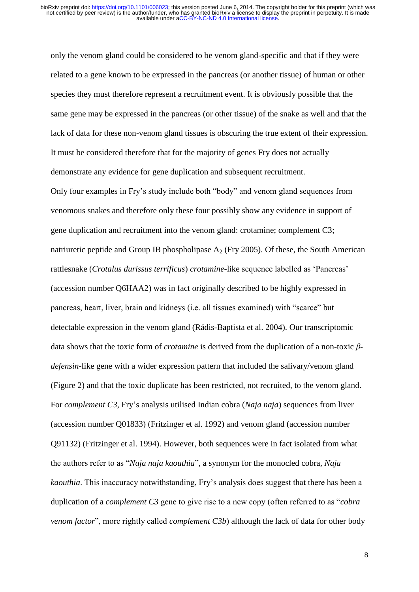only the venom gland could be considered to be venom gland-specific and that if they were related to a gene known to be expressed in the pancreas (or another tissue) of human or other species they must therefore represent a recruitment event. It is obviously possible that the same gene may be expressed in the pancreas (or other tissue) of the snake as well and that the lack of data for these non-venom gland tissues is obscuring the true extent of their expression. It must be considered therefore that for the majority of genes Fry does not actually demonstrate any evidence for gene duplication and subsequent recruitment.

Only four examples in Fry's study include both "body" and venom gland sequences from venomous snakes and therefore only these four possibly show any evidence in support of gene duplication and recruitment into the venom gland: crotamine; complement C3; natriuretic peptide and Group IB phospholipase  $A_2$  (Fry 2005). Of these, the South American rattlesnake (*Crotalus durissus terrificus*) *crotamine-*like sequence labelled as 'Pancreas' (accession number Q6HAA2) was in fact originally described to be highly expressed in pancreas, heart, liver, brain and kidneys (i.e. all tissues examined) with "scarce" but detectable expression in the venom gland (Rádis-Baptista et al. 2004). Our transcriptomic data shows that the toxic form of *crotamine* is derived from the duplication of a non-toxic *βdefensin*-like gene with a wider expression pattern that included the salivary/venom gland (Figure 2) and that the toxic duplicate has been restricted, not recruited, to the venom gland. For *complement C3*, Fry's analysis utilised Indian cobra (*Naja naja*) sequences from liver (accession number Q01833) (Fritzinger et al. 1992) and venom gland (accession number Q91132) (Fritzinger et al. 1994). However, both sequences were in fact isolated from what the authors refer to as "*Naja naja kaouthia*", a synonym for the monocled cobra, *Naja kaouthia*. This inaccuracy notwithstanding, Fry's analysis does suggest that there has been a duplication of a *complement C3* gene to give rise to a new copy (often referred to as "*cobra venom factor*", more rightly called *complement C3b*) although the lack of data for other body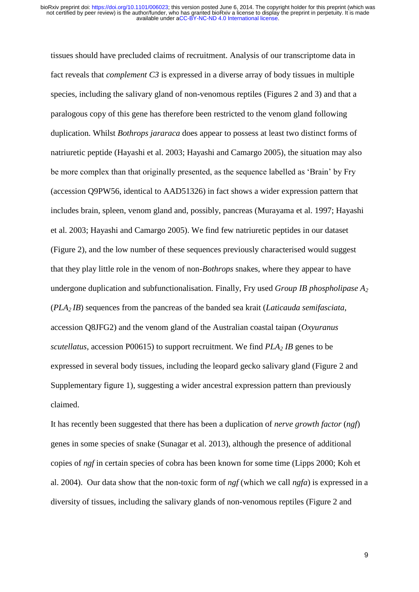tissues should have precluded claims of recruitment. Analysis of our transcriptome data in fact reveals that *complement C3* is expressed in a diverse array of body tissues in multiple species, including the salivary gland of non-venomous reptiles (Figures 2 and 3) and that a paralogous copy of this gene has therefore been restricted to the venom gland following duplication. Whilst *Bothrops jararaca* does appear to possess at least two distinct forms of natriuretic peptide (Hayashi et al. 2003; Hayashi and Camargo 2005), the situation may also be more complex than that originally presented, as the sequence labelled as 'Brain' by Fry (accession Q9PW56, identical to AAD51326) in fact shows a wider expression pattern that includes brain, spleen, venom gland and, possibly, pancreas (Murayama et al. 1997; Hayashi et al. 2003; Hayashi and Camargo 2005). We find few natriuretic peptides in our dataset (Figure 2), and the low number of these sequences previously characterised would suggest that they play little role in the venom of non-*Bothrops* snakes, where they appear to have undergone duplication and subfunctionalisation. Finally, Fry used *Group IB phospholipase A<sup>2</sup>* (*PLA2 IB*) sequences from the pancreas of the banded sea krait (*Laticauda semifasciata*, accession Q8JFG2) and the venom gland of the Australian coastal taipan (*Oxyuranus scutellatus*, accession P00615) to support recruitment. We find *PLA<sup>2</sup> IB* genes to be expressed in several body tissues, including the leopard gecko salivary gland (Figure 2 and Supplementary figure 1), suggesting a wider ancestral expression pattern than previously claimed.

It has recently been suggested that there has been a duplication of *nerve growth factor* (*ngf*) genes in some species of snake (Sunagar et al. 2013), although the presence of additional copies of *ngf* in certain species of cobra has been known for some time (Lipps 2000; Koh et al. 2004). Our data show that the non-toxic form of *ngf* (which we call *ngfa*) is expressed in a diversity of tissues, including the salivary glands of non-venomous reptiles (Figure 2 and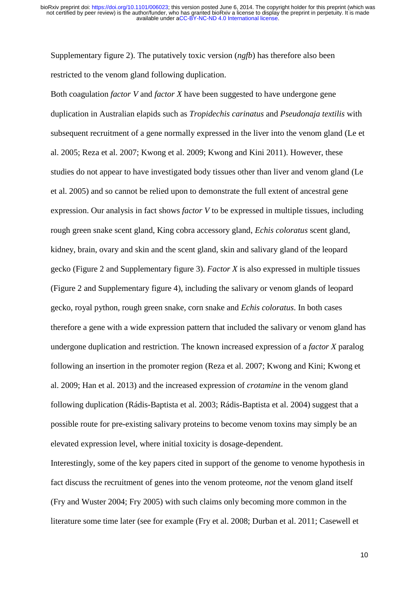Supplementary figure 2). The putatively toxic version (*ngfb*) has therefore also been restricted to the venom gland following duplication.

Both coagulation *factor V* and *factor X* have been suggested to have undergone gene duplication in Australian elapids such as *Tropidechis carinatus* and *Pseudonaja textilis* with subsequent recruitment of a gene normally expressed in the liver into the venom gland (Le et al. 2005; Reza et al. 2007; Kwong et al. 2009; Kwong and Kini 2011). However, these studies do not appear to have investigated body tissues other than liver and venom gland (Le et al. 2005) and so cannot be relied upon to demonstrate the full extent of ancestral gene expression. Our analysis in fact shows *factor V* to be expressed in multiple tissues, including rough green snake scent gland, King cobra accessory gland, *Echis coloratus* scent gland, kidney, brain, ovary and skin and the scent gland, skin and salivary gland of the leopard gecko (Figure 2 and Supplementary figure 3). *Factor X* is also expressed in multiple tissues (Figure 2 and Supplementary figure 4), including the salivary or venom glands of leopard gecko, royal python, rough green snake, corn snake and *Echis coloratus*. In both cases therefore a gene with a wide expression pattern that included the salivary or venom gland has undergone duplication and restriction. The known increased expression of a *factor X* paralog following an insertion in the promoter region (Reza et al. 2007; Kwong and Kini; Kwong et al. 2009; Han et al. 2013) and the increased expression of *crotamine* in the venom gland following duplication (Rádis-Baptista et al. 2003; Rádis-Baptista et al. 2004) suggest that a possible route for pre-existing salivary proteins to become venom toxins may simply be an elevated expression level, where initial toxicity is dosage-dependent.

Interestingly, some of the key papers cited in support of the genome to venome hypothesis in fact discuss the recruitment of genes into the venom proteome, *not* the venom gland itself (Fry and Wuster 2004; Fry 2005) with such claims only becoming more common in the literature some time later (see for example (Fry et al. 2008; Durban et al. 2011; Casewell et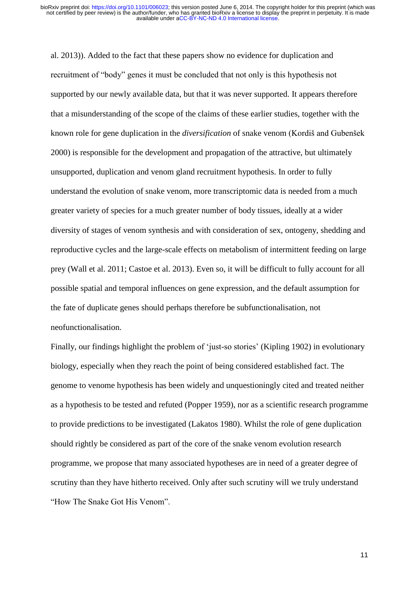al. 2013)). Added to the fact that these papers show no evidence for duplication and recruitment of "body" genes it must be concluded that not only is this hypothesis not supported by our newly available data, but that it was never supported. It appears therefore that a misunderstanding of the scope of the claims of these earlier studies, together with the known role for gene duplication in the *diversification* of snake venom (Kordiš and Gubenšek 2000) is responsible for the development and propagation of the attractive, but ultimately unsupported, duplication and venom gland recruitment hypothesis. In order to fully understand the evolution of snake venom, more transcriptomic data is needed from a much greater variety of species for a much greater number of body tissues, ideally at a wider diversity of stages of venom synthesis and with consideration of sex, ontogeny, shedding and reproductive cycles and the large-scale effects on metabolism of intermittent feeding on large prey (Wall et al. 2011; Castoe et al. 2013). Even so, it will be difficult to fully account for all possible spatial and temporal influences on gene expression, and the default assumption for the fate of duplicate genes should perhaps therefore be subfunctionalisation, not neofunctionalisation.

Finally, our findings highlight the problem of 'just-so stories' (Kipling 1902) in evolutionary biology, especially when they reach the point of being considered established fact. The genome to venome hypothesis has been widely and unquestioningly cited and treated neither as a hypothesis to be tested and refuted (Popper 1959), nor as a scientific research programme to provide predictions to be investigated (Lakatos 1980). Whilst the role of gene duplication should rightly be considered as part of the core of the snake venom evolution research programme, we propose that many associated hypotheses are in need of a greater degree of scrutiny than they have hitherto received. Only after such scrutiny will we truly understand "How The Snake Got His Venom".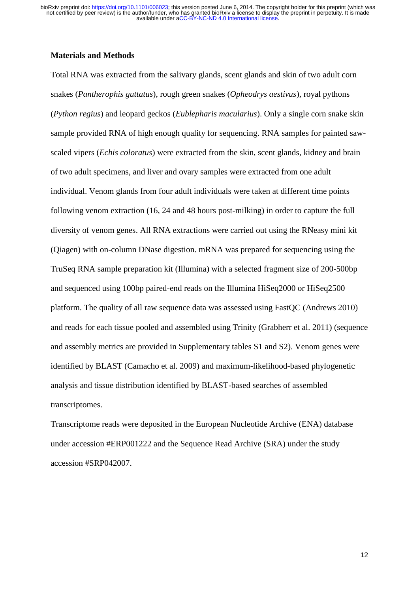#### **Materials and Methods**

Total RNA was extracted from the salivary glands, scent glands and skin of two adult corn snakes (*Pantherophis guttatus*), rough green snakes (*Opheodrys aestivus*), royal pythons (*Python regius*) and leopard geckos (*Eublepharis macularius*). Only a single corn snake skin sample provided RNA of high enough quality for sequencing. RNA samples for painted sawscaled vipers (*Echis coloratus*) were extracted from the skin, scent glands, kidney and brain of two adult specimens, and liver and ovary samples were extracted from one adult individual. Venom glands from four adult individuals were taken at different time points following venom extraction (16, 24 and 48 hours post-milking) in order to capture the full diversity of venom genes. All RNA extractions were carried out using the RNeasy mini kit (Qiagen) with on-column DNase digestion. mRNA was prepared for sequencing using the TruSeq RNA sample preparation kit (Illumina) with a selected fragment size of 200-500bp and sequenced using 100bp paired-end reads on the Illumina HiSeq2000 or HiSeq2500 platform. The quality of all raw sequence data was assessed using FastQC (Andrews 2010) and reads for each tissue pooled and assembled using Trinity (Grabherr et al. 2011) (sequence and assembly metrics are provided in Supplementary tables S1 and S2). Venom genes were identified by BLAST (Camacho et al. 2009) and maximum-likelihood-based phylogenetic analysis and tissue distribution identified by BLAST-based searches of assembled transcriptomes.

Transcriptome reads were deposited in the European Nucleotide Archive (ENA) database under accession #ERP001222 and the Sequence Read Archive (SRA) under the study accession #SRP042007.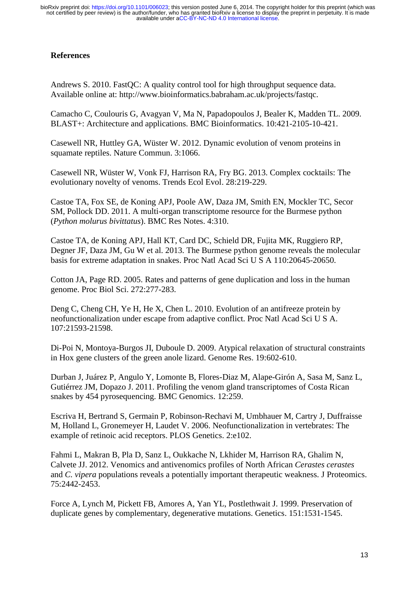# **References**

Andrews S. 2010. FastQC: A quality control tool for high throughput sequence data. Available online at: http://www.bioinformatics.babraham.ac.uk/projects/fastqc.

Camacho C, Coulouris G, Avagyan V, Ma N, Papadopoulos J, Bealer K, Madden TL. 2009. BLAST+: Architecture and applications. BMC Bioinformatics. 10:421-2105-10-421.

Casewell NR, Huttley GA, Wüster W. 2012. Dynamic evolution of venom proteins in squamate reptiles. Nature Commun. 3:1066.

Casewell NR, Wüster W, Vonk FJ, Harrison RA, Fry BG. 2013. Complex cocktails: The evolutionary novelty of venoms. Trends Ecol Evol. 28:219-229.

Castoe TA, Fox SE, de Koning APJ, Poole AW, Daza JM, Smith EN, Mockler TC, Secor SM, Pollock DD. 2011. A multi-organ transcriptome resource for the Burmese python (*Python molurus bivittatus*). BMC Res Notes. 4:310.

Castoe TA, de Koning APJ, Hall KT, Card DC, Schield DR, Fujita MK, Ruggiero RP, Degner JF, Daza JM, Gu W et al. 2013. The Burmese python genome reveals the molecular basis for extreme adaptation in snakes. Proc Natl Acad Sci U S A 110:20645-20650.

Cotton JA, Page RD. 2005. Rates and patterns of gene duplication and loss in the human genome. Proc Biol Sci. 272:277-283.

Deng C, Cheng CH, Ye H, He X, Chen L. 2010. Evolution of an antifreeze protein by neofunctionalization under escape from adaptive conflict. Proc Natl Acad Sci U S A. 107:21593-21598.

Di-Poi N, Montoya-Burgos JI, Duboule D. 2009. Atypical relaxation of structural constraints in Hox gene clusters of the green anole lizard. Genome Res. 19:602-610.

Durban J, Juárez P, Angulo Y, Lomonte B, Flores-Diaz M, Alape-Girón A, Sasa M, Sanz L, Gutiérrez JM, Dopazo J. 2011. Profiling the venom gland transcriptomes of Costa Rican snakes by 454 pyrosequencing. BMC Genomics. 12:259.

Escriva H, Bertrand S, Germain P, Robinson-Rechavi M, Umbhauer M, Cartry J, Duffraisse M, Holland L, Gronemeyer H, Laudet V. 2006. Neofunctionalization in vertebrates: The example of retinoic acid receptors. PLOS Genetics. 2:e102.

Fahmi L, Makran B, Pla D, Sanz L, Oukkache N, Lkhider M, Harrison RA, Ghalim N, Calvete JJ. 2012. Venomics and antivenomics profiles of North African *Cerastes cerastes* and *C. vipera* populations reveals a potentially important therapeutic weakness. J Proteomics. 75:2442-2453.

Force A, Lynch M, Pickett FB, Amores A, Yan YL, Postlethwait J. 1999. Preservation of duplicate genes by complementary, degenerative mutations. Genetics. 151:1531-1545.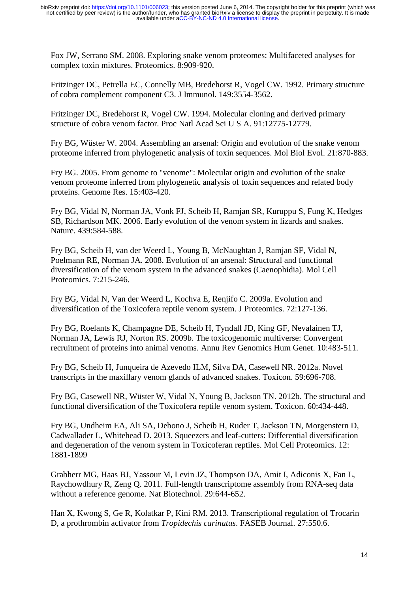Fox JW, Serrano SM. 2008. Exploring snake venom proteomes: Multifaceted analyses for complex toxin mixtures. Proteomics. 8:909-920.

Fritzinger DC, Petrella EC, Connelly MB, Bredehorst R, Vogel CW. 1992. Primary structure of cobra complement component C3. J Immunol. 149:3554-3562.

Fritzinger DC, Bredehorst R, Vogel CW. 1994. Molecular cloning and derived primary structure of cobra venom factor. Proc Natl Acad Sci U S A. 91:12775-12779.

Fry BG, Wüster W. 2004. Assembling an arsenal: Origin and evolution of the snake venom proteome inferred from phylogenetic analysis of toxin sequences. Mol Biol Evol. 21:870-883.

Fry BG. 2005. From genome to "venome": Molecular origin and evolution of the snake venom proteome inferred from phylogenetic analysis of toxin sequences and related body proteins. Genome Res. 15:403-420.

Fry BG, Vidal N, Norman JA, Vonk FJ, Scheib H, Ramjan SR, Kuruppu S, Fung K, Hedges SB, Richardson MK. 2006. Early evolution of the venom system in lizards and snakes. Nature. 439:584-588.

Fry BG, Scheib H, van der Weerd L, Young B, McNaughtan J, Ramjan SF, Vidal N, Poelmann RE, Norman JA. 2008. Evolution of an arsenal: Structural and functional diversification of the venom system in the advanced snakes (Caenophidia). Mol Cell Proteomics. 7:215-246.

Fry BG, Vidal N, Van der Weerd L, Kochva E, Renjifo C. 2009a. Evolution and diversification of the Toxicofera reptile venom system. J Proteomics. 72:127-136.

Fry BG, Roelants K, Champagne DE, Scheib H, Tyndall JD, King GF, Nevalainen TJ, Norman JA, Lewis RJ, Norton RS. 2009b. The toxicogenomic multiverse: Convergent recruitment of proteins into animal venoms. Annu Rev Genomics Hum Genet. 10:483-511.

Fry BG, Scheib H, Junqueira de Azevedo ILM, Silva DA, Casewell NR. 2012a. Novel transcripts in the maxillary venom glands of advanced snakes. Toxicon. 59:696-708.

Fry BG, Casewell NR, Wüster W, Vidal N, Young B, Jackson TN. 2012b. The structural and functional diversification of the Toxicofera reptile venom system. Toxicon. 60:434-448.

Fry BG, Undheim EA, Ali SA, Debono J, Scheib H, Ruder T, Jackson TN, Morgenstern D, Cadwallader L, Whitehead D. 2013. Squeezers and leaf-cutters: Differential diversification and degeneration of the venom system in Toxicoferan reptiles. Mol Cell Proteomics. 12: 1881-1899

Grabherr MG, Haas BJ, Yassour M, Levin JZ, Thompson DA, Amit I, Adiconis X, Fan L, Raychowdhury R, Zeng Q. 2011. Full-length transcriptome assembly from RNA-seq data without a reference genome. Nat Biotechnol. 29:644-652.

Han X, Kwong S, Ge R, Kolatkar P, Kini RM. 2013. Transcriptional regulation of Trocarin D, a prothrombin activator from *Tropidechis carinatus*. FASEB Journal. 27:550.6.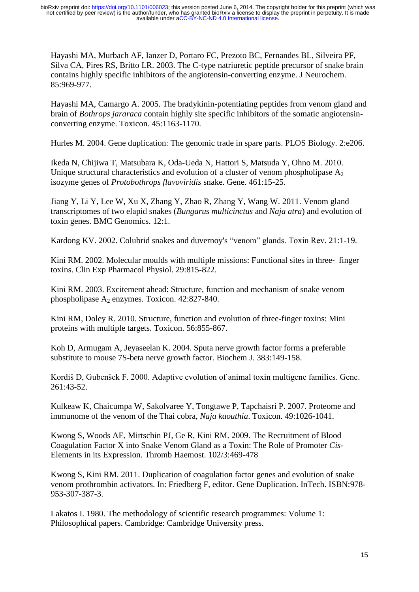Hayashi MA, Murbach AF, Ianzer D, Portaro FC, Prezoto BC, Fernandes BL, Silveira PF, Silva CA, Pires RS, Britto LR. 2003. The C-type natriuretic peptide precursor of snake brain contains highly specific inhibitors of the angiotensin-converting enzyme. J Neurochem. 85:969-977.

Hayashi MA, Camargo A. 2005. The bradykinin-potentiating peptides from venom gland and brain of *Bothrops jararaca* contain highly site specific inhibitors of the somatic angiotensinconverting enzyme. Toxicon. 45:1163-1170.

Hurles M. 2004. Gene duplication: The genomic trade in spare parts. PLOS Biology. 2:e206.

Ikeda N, Chijiwa T, Matsubara K, Oda-Ueda N, Hattori S, Matsuda Y, Ohno M. 2010. Unique structural characteristics and evolution of a cluster of venom phospholipase  $A_2$ isozyme genes of *Protobothrops flavoviridis* snake. Gene. 461:15-25.

Jiang Y, Li Y, Lee W, Xu X, Zhang Y, Zhao R, Zhang Y, Wang W. 2011. Venom gland transcriptomes of two elapid snakes (*Bungarus multicinctus* and *Naja atra*) and evolution of toxin genes. BMC Genomics. 12:1.

Kardong KV. 2002. Colubrid snakes and duvernoy's "venom" glands. Toxin Rev. 21:1-19.

Kini RM. 2002. Molecular moulds with multiple missions: Functional sites in three– finger toxins. Clin Exp Pharmacol Physiol. 29:815-822.

Kini RM. 2003. Excitement ahead: Structure, function and mechanism of snake venom phospholipase A<sup>2</sup> enzymes. Toxicon. 42:827-840.

Kini RM, Doley R. 2010. Structure, function and evolution of three-finger toxins: Mini proteins with multiple targets. Toxicon. 56:855-867.

Koh D, Armugam A, Jeyaseelan K. 2004. Sputa nerve growth factor forms a preferable substitute to mouse 7S-beta nerve growth factor. Biochem J. 383:149-158.

Kordiš D, Gubenšek F. 2000. Adaptive evolution of animal toxin multigene families. Gene. 261:43-52.

Kulkeaw K, Chaicumpa W, Sakolvaree Y, Tongtawe P, Tapchaisri P. 2007. Proteome and immunome of the venom of the Thai cobra, *Naja kaouthia*. Toxicon. 49:1026-1041.

Kwong S, Woods AE, Mirtschin PJ, Ge R, Kini RM. 2009. The Recruitment of Blood Coagulation Factor X into Snake Venom Gland as a Toxin: The Role of Promoter *Cis*-Elements in its Expression. Thromb Haemost. 102/3:469-478

Kwong S, Kini RM. 2011. Duplication of coagulation factor genes and evolution of snake venom prothrombin activators. In: Friedberg F, editor. Gene Duplication. InTech. ISBN:978- 953-307-387-3.

Lakatos I. 1980. The methodology of scientific research programmes: Volume 1: Philosophical papers. Cambridge: Cambridge University press.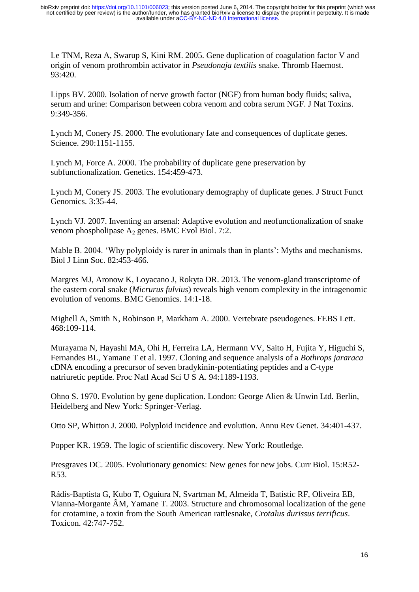Le TNM, Reza A, Swarup S, Kini RM. 2005. Gene duplication of coagulation factor V and origin of venom prothrombin activator in *Pseudonaja textilis* snake. Thromb Haemost. 93:420.

Lipps BV. 2000. Isolation of nerve growth factor (NGF) from human body fluids; saliva, serum and urine: Comparison between cobra venom and cobra serum NGF. J Nat Toxins. 9:349-356.

Lynch M, Conery JS. 2000. The evolutionary fate and consequences of duplicate genes. Science. 290:1151-1155.

Lynch M, Force A. 2000. The probability of duplicate gene preservation by subfunctionalization. Genetics. 154:459-473.

Lynch M, Conery JS. 2003. The evolutionary demography of duplicate genes. J Struct Funct Genomics. 3:35-44.

Lynch VJ. 2007. Inventing an arsenal: Adaptive evolution and neofunctionalization of snake venom phospholipase A<sub>2</sub> genes. BMC Evol Biol. 7:2.

Mable B. 2004. 'Why polyploidy is rarer in animals than in plants': Myths and mechanisms. Biol J Linn Soc. 82:453-466.

Margres MJ, Aronow K, Loyacano J, Rokyta DR. 2013. The venom-gland transcriptome of the eastern coral snake (*Micrurus fulvius*) reveals high venom complexity in the intragenomic evolution of venoms. BMC Genomics. 14:1-18.

Mighell A, Smith N, Robinson P, Markham A. 2000. Vertebrate pseudogenes. FEBS Lett. 468:109-114.

Murayama N, Hayashi MA, Ohi H, Ferreira LA, Hermann VV, Saito H, Fujita Y, Higuchi S, Fernandes BL, Yamane T et al. 1997. Cloning and sequence analysis of a *Bothrops jararaca* cDNA encoding a precursor of seven bradykinin-potentiating peptides and a C-type natriuretic peptide. Proc Natl Acad Sci U S A. 94:1189-1193.

Ohno S. 1970. Evolution by gene duplication. London: George Alien & Unwin Ltd. Berlin, Heidelberg and New York: Springer-Verlag.

Otto SP, Whitton J. 2000. Polyploid incidence and evolution. Annu Rev Genet. 34:401-437.

Popper KR. 1959. The logic of scientific discovery. New York: Routledge.

Presgraves DC. 2005. Evolutionary genomics: New genes for new jobs. Curr Biol. 15:R52- R53.

Rádis-Baptista G, Kubo T, Oguiura N, Svartman M, Almeida T, Batistic RF, Oliveira EB, Vianna-Morgante ÂM, Yamane T. 2003. Structure and chromosomal localization of the gene for crotamine, a toxin from the South American rattlesnake, *Crotalus durissus terrificus*. Toxicon. 42:747-752.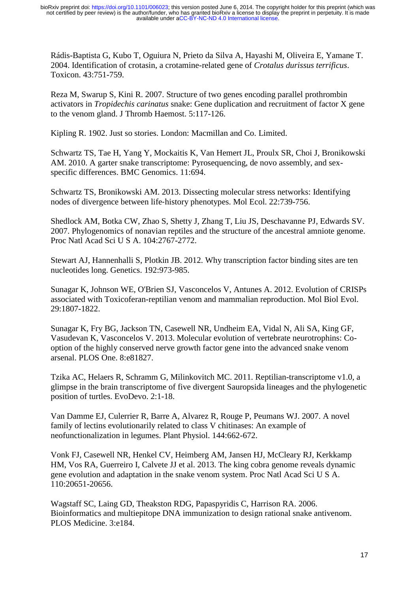Rádis-Baptista G, Kubo T, Oguiura N, Prieto da Silva A, Hayashi M, Oliveira E, Yamane T. 2004. Identification of crotasin, a crotamine-related gene of *Crotalus durissus terrificus*. Toxicon. 43:751-759.

Reza M, Swarup S, Kini R. 2007. Structure of two genes encoding parallel prothrombin activators in *Tropidechis carinatus* snake: Gene duplication and recruitment of factor X gene to the venom gland. J Thromb Haemost. 5:117-126.

Kipling R. 1902. Just so stories. London: Macmillan and Co. Limited.

Schwartz TS, Tae H, Yang Y, Mockaitis K, Van Hemert JL, Proulx SR, Choi J, Bronikowski AM. 2010. A garter snake transcriptome: Pyrosequencing, de novo assembly, and sexspecific differences. BMC Genomics. 11:694.

Schwartz TS, Bronikowski AM. 2013. Dissecting molecular stress networks: Identifying nodes of divergence between life‐history phenotypes. Mol Ecol. 22:739-756.

Shedlock AM, Botka CW, Zhao S, Shetty J, Zhang T, Liu JS, Deschavanne PJ, Edwards SV. 2007. Phylogenomics of nonavian reptiles and the structure of the ancestral amniote genome. Proc Natl Acad Sci U S A. 104:2767-2772.

Stewart AJ, Hannenhalli S, Plotkin JB. 2012. Why transcription factor binding sites are ten nucleotides long. Genetics. 192:973-985.

Sunagar K, Johnson WE, O'Brien SJ, Vasconcelos V, Antunes A. 2012. Evolution of CRISPs associated with Toxicoferan-reptilian venom and mammalian reproduction. Mol Biol Evol. 29:1807-1822.

Sunagar K, Fry BG, Jackson TN, Casewell NR, Undheim EA, Vidal N, Ali SA, King GF, Vasudevan K, Vasconcelos V. 2013. Molecular evolution of vertebrate neurotrophins: Cooption of the highly conserved nerve growth factor gene into the advanced snake venom arsenal. PLOS One. 8:e81827.

Tzika AC, Helaers R, Schramm G, Milinkovitch MC. 2011. Reptilian-transcriptome v1.0, a glimpse in the brain transcriptome of five divergent Sauropsida lineages and the phylogenetic position of turtles. EvoDevo. 2:1-18.

Van Damme EJ, Culerrier R, Barre A, Alvarez R, Rouge P, Peumans WJ. 2007. A novel family of lectins evolutionarily related to class V chitinases: An example of neofunctionalization in legumes. Plant Physiol. 144:662-672.

Vonk FJ, Casewell NR, Henkel CV, Heimberg AM, Jansen HJ, McCleary RJ, Kerkkamp HM, Vos RA, Guerreiro I, Calvete JJ et al. 2013. The king cobra genome reveals dynamic gene evolution and adaptation in the snake venom system. Proc Natl Acad Sci U S A. 110:20651-20656.

Wagstaff SC, Laing GD, Theakston RDG, Papaspyridis C, Harrison RA. 2006. Bioinformatics and multiepitope DNA immunization to design rational snake antivenom. PLOS Medicine. 3:e184.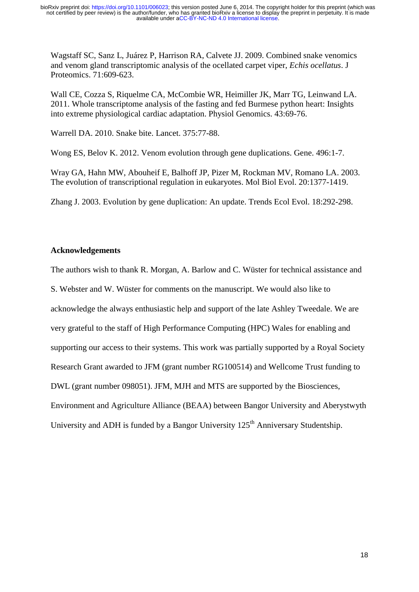Wagstaff SC, Sanz L, Juárez P, Harrison RA, Calvete JJ. 2009. Combined snake venomics and venom gland transcriptomic analysis of the ocellated carpet viper, *Echis ocellatus*. J Proteomics. 71:609-623.

Wall CE, Cozza S, Riquelme CA, McCombie WR, Heimiller JK, Marr TG, Leinwand LA. 2011. Whole transcriptome analysis of the fasting and fed Burmese python heart: Insights into extreme physiological cardiac adaptation. Physiol Genomics. 43:69-76.

Warrell DA. 2010. Snake bite. Lancet. 375:77-88.

Wong ES, Belov K. 2012. Venom evolution through gene duplications. Gene. 496:1-7.

Wray GA, Hahn MW, Abouheif E, Balhoff JP, Pizer M, Rockman MV, Romano LA. 2003. The evolution of transcriptional regulation in eukaryotes. Mol Biol Evol. 20:1377-1419.

Zhang J. 2003. Evolution by gene duplication: An update. Trends Ecol Evol. 18:292-298.

# **Acknowledgements**

The authors wish to thank R. Morgan, A. Barlow and C. Wüster for technical assistance and

S. Webster and W. Wüster for comments on the manuscript. We would also like to

acknowledge the always enthusiastic help and support of the late Ashley Tweedale. We are

very grateful to the staff of High Performance Computing (HPC) Wales for enabling and

supporting our access to their systems. This work was partially supported by a Royal Society

Research Grant awarded to JFM (grant number RG100514) and Wellcome Trust funding to

DWL (grant number 098051). JFM, MJH and MTS are supported by the Biosciences,

Environment and Agriculture Alliance (BEAA) between Bangor University and Aberystwyth

University and ADH is funded by a Bangor University 125<sup>th</sup> Anniversary Studentship.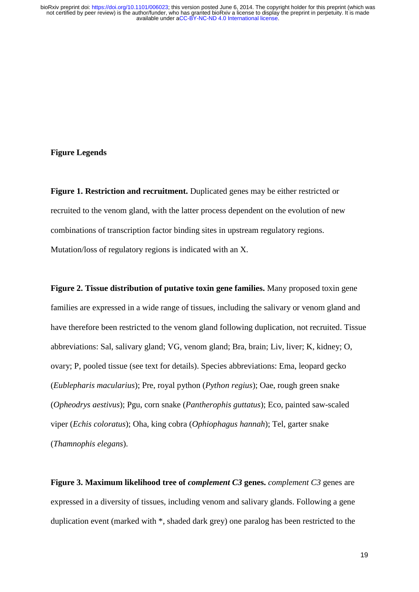#### **Figure Legends**

**Figure 1. Restriction and recruitment.** Duplicated genes may be either restricted or recruited to the venom gland, with the latter process dependent on the evolution of new combinations of transcription factor binding sites in upstream regulatory regions. Mutation/loss of regulatory regions is indicated with an X.

**Figure 2. Tissue distribution of putative toxin gene families.** Many proposed toxin gene families are expressed in a wide range of tissues, including the salivary or venom gland and have therefore been restricted to the venom gland following duplication, not recruited. Tissue abbreviations: Sal, salivary gland; VG, venom gland; Bra, brain; Liv, liver; K, kidney; O, ovary; P, pooled tissue (see text for details). Species abbreviations: Ema, leopard gecko (*Eublepharis macularius*); Pre, royal python (*Python regius*); Oae, rough green snake (*Opheodrys aestivus*); Pgu, corn snake (*Pantherophis guttatus*); Eco, painted saw-scaled viper (*Echis coloratus*); Oha, king cobra (*Ophiophagus hannah*); Tel, garter snake (*Thamnophis elegans*).

**Figure 3. Maximum likelihood tree of** *complement C3* **genes.** *complement C3* genes are expressed in a diversity of tissues, including venom and salivary glands. Following a gene duplication event (marked with \*, shaded dark grey) one paralog has been restricted to the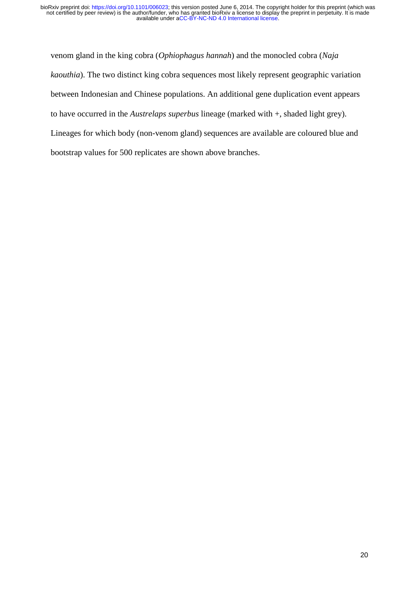venom gland in the king cobra (*Ophiophagus hannah*) and the monocled cobra (*Naja kaouthia*). The two distinct king cobra sequences most likely represent geographic variation between Indonesian and Chinese populations. An additional gene duplication event appears to have occurred in the *Austrelaps superbus* lineage (marked with +, shaded light grey). Lineages for which body (non-venom gland) sequences are available are coloured blue and bootstrap values for 500 replicates are shown above branches.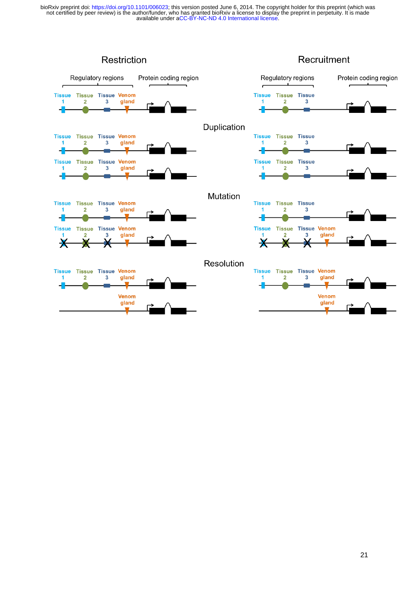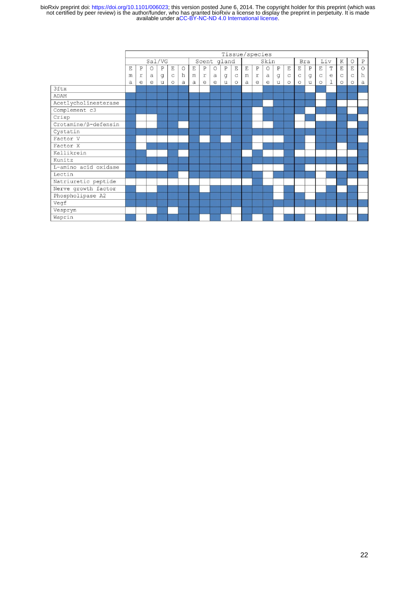|                                               | Tissue/species |             |            |              |             |             |             |              |          |             |             |             |              |              |              |             |             |              |                                             |             |              |              |         |
|-----------------------------------------------|----------------|-------------|------------|--------------|-------------|-------------|-------------|--------------|----------|-------------|-------------|-------------|--------------|--------------|--------------|-------------|-------------|--------------|---------------------------------------------|-------------|--------------|--------------|---------|
|                                               | Sal/VG         |             |            |              |             | Scent gland |             |              |          |             | Skin        |             |              |              | Bra          |             | Liv         |              | K                                           | $\circ$     | $\, {\bf P}$ |              |         |
|                                               | E              | $\mathbf P$ | $\circ$    | $\, {\bf P}$ | E           | $\circ$     | $\mathbf E$ | $\, {\bf P}$ | $\circ$  | $\mathbf P$ | $\mathbf E$ | $\mathbf E$ | $\mathbf{P}$ | $\circ$      | $\, {\bf P}$ | $\mathbf E$ | $\mathbf E$ | $\, {\bf P}$ | $\mathbf E$                                 | $\mathbf T$ | $\mathbf E$  | E            | $\circ$ |
|                                               | m              | r           | a          | g            | $\mathsf C$ | h           | m           | $\mathtt{r}$ | $\alpha$ | g           | $\mathsf C$ | m           | $\mathtt{r}$ | $\mathsf{a}$ | g            | $\mathsf C$ | $\mathsf C$ | $\mathsf g$  | $\mathrm{C}% _{z}=\mathrm{C}_{z}\mathrm{C}$ | $\rm ^{e}$  | $\mathsf C$  | $\mathsf{C}$ | h       |
|                                               | a              | e           | $\epsilon$ | u            | $\circ$     | a           | a           | e            | e        | u           | $\circ$     | a           | e            | e            | u            | $\circ$     | $\circ$     | u            | $\circ$                                     | $\mathbf 1$ | $\circ$      | $\circ$      | a       |
| 3ftx                                          |                |             |            |              |             |             |             |              |          |             |             |             |              |              |              |             |             |              |                                             |             |              |              |         |
| ADAM                                          |                |             |            |              |             |             |             |              |          |             |             |             |              |              |              |             |             |              |                                             |             |              |              |         |
| Acetlycholinesterase                          |                |             |            |              |             |             |             |              |          |             |             |             |              |              |              |             |             |              |                                             |             |              |              |         |
| Complement c3                                 |                |             |            |              |             |             |             |              |          |             |             |             |              |              |              |             |             |              |                                             |             |              |              |         |
| Crisp                                         |                |             |            |              |             |             |             |              |          |             |             |             |              |              |              |             |             |              |                                             |             |              |              |         |
| $\overline{\text{Crotamine}/\beta}$ -defensin |                |             |            |              |             |             |             |              |          |             |             |             |              |              |              |             |             |              |                                             |             |              |              |         |
| Cystatin                                      |                |             |            |              |             |             |             |              |          |             |             |             |              |              |              |             |             |              |                                             |             |              |              |         |
| Factor V                                      |                |             |            |              |             |             |             |              |          |             |             |             |              |              |              |             |             |              |                                             |             |              |              |         |
| Factor X                                      |                |             |            |              |             |             |             |              |          |             |             |             |              |              |              |             |             |              |                                             |             |              |              |         |
| Kallikrein                                    |                |             |            |              |             |             |             |              |          |             |             |             |              |              |              |             |             |              |                                             |             |              |              |         |
| Kunitz                                        |                |             |            |              |             |             |             |              |          |             |             |             |              |              |              |             |             |              |                                             |             |              |              |         |
| L-amino acid oxidase                          |                |             |            |              |             |             |             |              |          |             |             |             |              |              |              |             |             |              |                                             |             |              |              |         |
| Lectin                                        |                |             |            |              |             |             |             |              |          |             |             |             |              |              |              |             |             |              |                                             |             |              |              |         |
| Natriuretic peptide                           |                |             |            |              |             |             |             |              |          |             |             |             |              |              |              |             |             |              |                                             |             |              |              |         |
| Nerve growth factor                           |                |             |            |              |             |             |             |              |          |             |             |             |              |              |              |             |             |              |                                             |             |              |              |         |
| Phospholipase A2                              |                |             |            |              |             |             |             |              |          |             |             |             |              |              |              |             |             |              |                                             |             |              |              |         |
| Vegf                                          |                |             |            |              |             |             |             |              |          |             |             |             |              |              |              |             |             |              |                                             |             |              |              |         |
| Vespryn                                       |                |             |            |              |             |             |             |              |          |             |             |             |              |              |              |             |             |              |                                             |             |              |              |         |
| Waprin                                        |                |             |            |              |             |             |             |              |          |             |             |             |              |              |              |             |             |              |                                             |             |              |              |         |